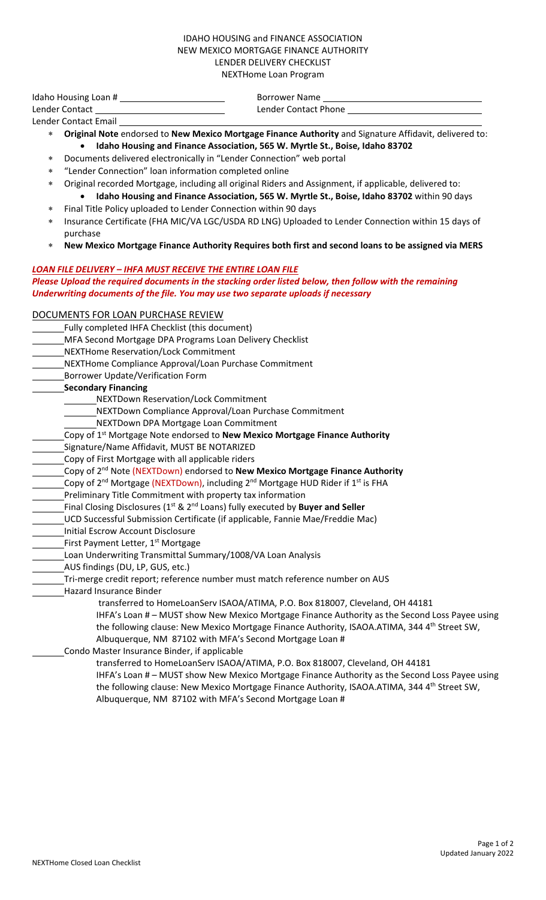## IDAHO HOUSING and FINANCE ASSOCIATION NEW MEXICO MORTGAGE FINANCE AUTHORITY LENDER DELIVERY CHECKLIST NEXTHome Loan Program

Idaho Housing Loan # Borrower Name Lender Contact Lender Contact Phone

Lender Contact Email

- ∗ **Original Note** endorsed to **New Mexico Mortgage Finance Authority** and Signature Affidavit, delivered to: • **Idaho Housing and Finance Association, 565 W. Myrtle St., Boise, Idaho 83702**
- Documents delivered electronically in "Lender Connection" web portal
- ∗ "Lender Connection" loan information completed online
	- ∗ Original recorded Mortgage, including all original Riders and Assignment, if applicable, delivered to:
	- **Idaho Housing and Finance Association, 565 W. Myrtle St., Boise, Idaho 83702** within 90 days Final Title Policy uploaded to Lender Connection within 90 days
- Insurance Certificate (FHA MIC/VA LGC/USDA RD LNG) Uploaded to Lender Connection within 15 days of purchase
- ∗ **New Mexico Mortgage Finance Authority Requires both first and second loans to be assigned via MERS**

## *LOAN FILE DELIVERY – IHFA MUST RECEIVE THE ENTIRE LOAN FILE Please Upload the required documents in the stacking order listed below, then follow with the remaining Underwriting documents of the file. You may use two separate uploads if necessary*

## DOCUMENTS FOR LOAN PURCHASE REVIEW

Fully completed IHFA Checklist (this document)

- MFA Second Mortgage DPA Programs Loan Delivery Checklist
- NEXTHome Reservation/Lock Commitment
- NEXTHome Compliance Approval/Loan Purchase Commitment
- Borrower Update/Verification Form
- **Secondary Financing**
	- NEXTDown Reservation/Lock Commitment
	- NEXTDown Compliance Approval/Loan Purchase Commitment
	- NEXTDown DPA Mortgage Loan Commitment
- Copy of 1st Mortgage Note endorsed to **New Mexico Mortgage Finance Authority**
- Signature/Name Affidavit, MUST BE NOTARIZED
- Copy of First Mortgage with all applicable riders
- Copy of 2nd Note (NEXTDown) endorsed to **New Mexico Mortgage Finance Authority**
- Copy of 2<sup>nd</sup> Mortgage (NEXTDown), including 2<sup>nd</sup> Mortgage HUD Rider if 1<sup>st</sup> is FHA
- Preliminary Title Commitment with property tax information
- Final Closing Disclosures (1st & 2nd Loans) fully executed by **Buyer and Seller**
- UCD Successful Submission Certificate (if applicable, Fannie Mae/Freddie Mac)
- Initial Escrow Account Disclosure
- First Payment Letter, 1<sup>st</sup> Mortgage
- Loan Underwriting Transmittal Summary/1008/VA Loan Analysis
- AUS findings (DU, LP, GUS, etc.)
- Tri-merge credit report; reference number must match reference number on AUS
- Hazard Insurance Binder
	- transferred to HomeLoanServ ISAOA/ATIMA, P.O. Box 818007, Cleveland, OH 44181
	- IHFA's Loan # MUST show New Mexico Mortgage Finance Authority as the Second Loss Payee using the following clause: New Mexico Mortgage Finance Authority, ISAOA.ATIMA, 344 4<sup>th</sup> Street SW, Albuquerque, NM 87102 with MFA's Second Mortgage Loan #
	- Condo Master Insurance Binder, if applicable
		- transferred to HomeLoanServ ISAOA/ATIMA, P.O. Box 818007, Cleveland, OH 44181 IHFA's Loan # – MUST show New Mexico Mortgage Finance Authority as the Second Loss Payee using the following clause: New Mexico Mortgage Finance Authority, ISAOA.ATIMA, 344 4<sup>th</sup> Street SW, Albuquerque, NM 87102 with MFA's Second Mortgage Loan #